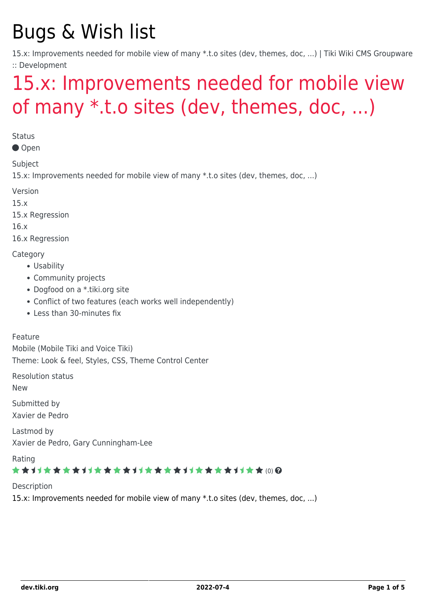# Bugs & Wish list

15.x: Improvements needed for mobile view of many \*.t.o sites (dev, themes, doc, ...) | Tiki Wiki CMS Groupware :: Development

# [15.x: Improvements needed for mobile view](https://dev.tiki.org/item6049-15-x-Improvements-needed-for-mobile-view-of-many-t-o-sites-dev-themes-doc) [of many \\*.t.o sites \(dev, themes, doc, ...\)](https://dev.tiki.org/item6049-15-x-Improvements-needed-for-mobile-view-of-many-t-o-sites-dev-themes-doc)

**Status** 

Open

Subject

15.x: Improvements needed for mobile view of many \*.t.o sites (dev, themes, doc, ...)

Version

15.x

15.x Regression

16.x

16.x Regression

**Category** 

- Usability
- Community projects
- Dogfood on a \*.tiki.org site
- Conflict of two features (each works well independently)
- Less than 30-minutes fix

Feature

Mobile (Mobile Tiki and Voice Tiki) Theme: Look & feel, Styles, CSS, Theme Control Center

Resolution status

New

Submitted by Xavier de Pedro

Lastmod by Xavier de Pedro, Gary Cunningham-Lee

Rating

#### ★★11★★★★11★★★★11★★★★11★★★★11★★ (0) @

#### Description

15.x: Improvements needed for mobile view of many \*.t.o sites (dev, themes, doc, ...)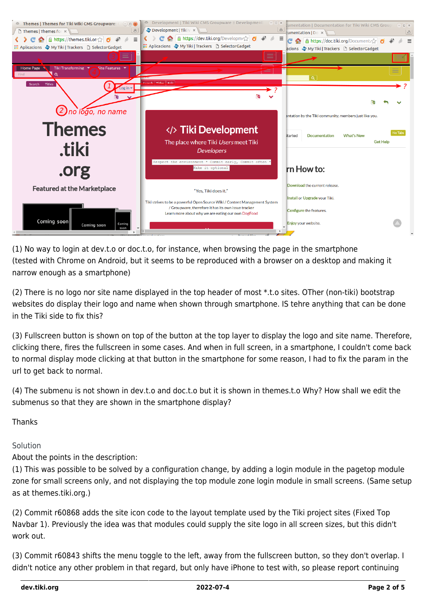

(1) No way to login at dev.t.o or doc.t.o, for instance, when browsing the page in the smartphone (tested with Chrome on Android, but it seems to be reproduced with a browser on a desktop and making it narrow enough as a smartphone)

(2) There is no logo nor site name displayed in the top header of most \*.t.o sites. OTher (non-tiki) bootstrap websites do display their logo and name when shown through smartphone. IS tehre anything that can be done in the Tiki side to fix this?

(3) Fullscreen button is shown on top of the button at the top layer to display the logo and site name. Therefore, clicking there, fires the fullscreen in some cases. And when in full screen, in a smartphone, I couldn't come back to normal display mode clicking at that button in the smartphone for some reason, I had to fix the param in the url to get back to normal.

(4) The submenu is not shown in dev.t.o and doc.t.o but it is shown in themes.t.o Why? How shall we edit the submenus so that they are shown in the smartphone display?

Thanks

Solution

About the points in the description:

(1) This was possible to be solved by a configuration change, by adding a login module in the pagetop module zone for small screens only, and not displaying the top module zone login module in small screens. (Same setup as at themes.tiki.org.)

(2) Commit r60868 adds the site icon code to the layout template used by the Tiki project sites (Fixed Top Navbar 1). Previously the idea was that modules could supply the site logo in all screen sizes, but this didn't work out.

(3) Commit r60843 shifts the menu toggle to the left, away from the fullscreen button, so they don't overlap. I didn't notice any other problem in that regard, but only have iPhone to test with, so please report continuing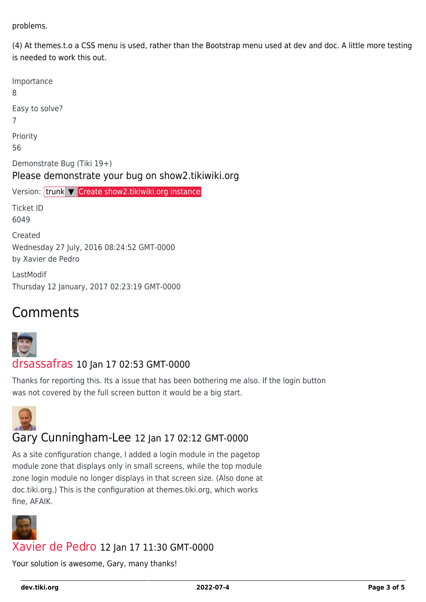problems.

(4) At themes.t.o a CSS menu is used, rather than the Bootstrap menu used at dev and doc. A little more testing is needed to work this out.

| Importance<br>8                                                                 |
|---------------------------------------------------------------------------------|
| Easy to solve?<br>7                                                             |
| Priority<br>56                                                                  |
| Demonstrate Bug (Tiki 19+)<br>Please demonstrate your bug on show2.tikiwiki.org |
| Version: trunk V Create show2.tikiwiki.org instance                             |
| Ticket ID<br>6049                                                               |
| Created<br>Wednesday 27 July, 2016 08:24:52 GMT-0000<br>by Xavier de Pedro      |
| LastModif<br>Thursday 12 January, 2017 02:23:19 GMT-0000                        |

# Comments



#### [drsassafras](https://dev.tiki.org/user11658) 10 Jan 17 02:53 GMT-0000

Thanks for reporting this. Its a issue that has been bothering me also. If the login button was not covered by the full screen button it would be a big start.



## Gary Cunningham-Lee 12 Jan 17 02:12 GMT-0000

As a site configuration change, I added a login module in the pagetop module zone that displays only in small screens, while the top module zone login module no longer displays in that screen size. (Also done at doc.tiki.org.) This is the configuration at themes.tiki.org, which works fine, AFAIK.



### [Xavier de Pedro](https://dev.tiki.org/user9794) 12 Jan 17 11:30 GMT-0000

Your solution is awesome, Gary, many thanks!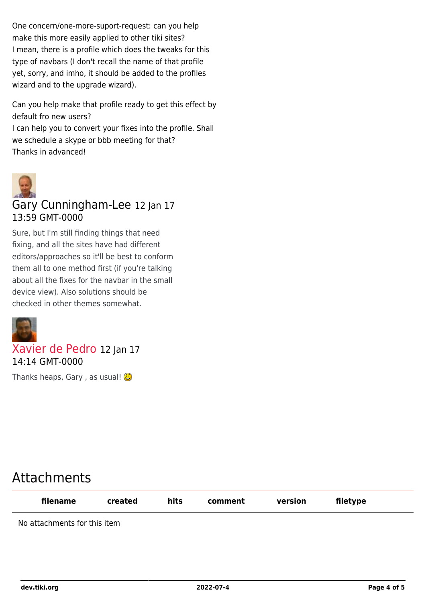One concern/one-more-suport-request: can you help make this more easily applied to other tiki sites? I mean, there is a profile which does the tweaks for this type of navbars (I don't recall the name of that profile yet, sorry, and imho, it should be added to the profiles wizard and to the upgrade wizard).

Can you help make that profile ready to get this effect by default fro new users?

I can help you to convert your fixes into the profile. Shall we schedule a skype or bbb meeting for that? Thanks in advanced!



### Gary Cunningham-Lee 12 Jan 17 13:59 GMT-0000

Sure, but I'm still finding things that need fixing, and all the sites have had different editors/approaches so it'll be best to conform them all to one method first (if you're talking about all the fixes for the navbar in the small device view). Also solutions should be checked in other themes somewhat.



## [Xavier de Pedro](https://dev.tiki.org/user9794) 12 Jan 17 14:14 GMT-0000

Thanks heaps, Gary, as usual!

# Attachments

| filename                     | created | hits | comment | version | filetype |  |
|------------------------------|---------|------|---------|---------|----------|--|
| No attachments for this item |         |      |         |         |          |  |

**dev.tiki.org 2022-07-4 Page 4 of 5**